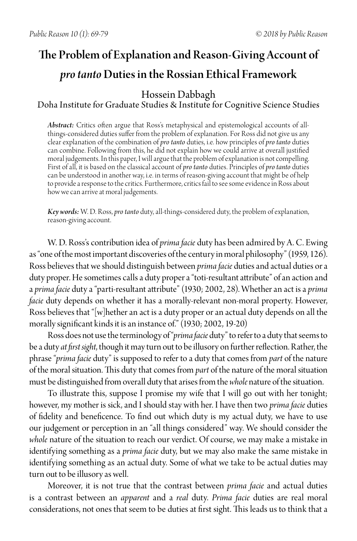# The Problem of Explanation and Reason-Giving Account of *pro tanto* Duties in the Rossian Ethical Framework

## Hossein Dabbagh

## Doha Institute for Graduate Studies & Institute for Cognitive Science Studies

*Abstract:* Critics often argue that Ross's metaphysical and epistemological accounts of allthings-considered duties suffer from the problem of explanation. For Ross did not give us any clear explanation of the combination of *pro tanto* duties, i.e. how principles of *pro tanto* duties can combine. Following from this, he did not explain how we could arrive at overall justified moral judgements. In this paper, I will argue that the problem of explanation is not compelling. First of all, it is based on the classical account of *pro tanto* duties. Principles of *pro tanto* duties can be understood in another way, i.e. in terms of reason-giving account that might be of help to provide a response to the critics. Furthermore, critics fail to see some evidence in Ross about how we can arrive at moral judgements.

*Key words:* W. D. Ross, *pro tanto* duty, all-things-considered duty, the problem of explanation, reason-giving account.

W. D. Ross's contribution idea of *prima facie* duty has been admired by A. C. Ewing as "one of the most important discoveries of the century in moral philosophy" (1959, 126). Ross believes that we should distinguish between *prima facie* duties and actual duties or a duty proper. He sometimes calls a duty proper a "toti-resultant attribute" of an action and a *prima facie* duty a "parti-resultant attribute" (1930; 2002, 28). Whether an act is a *prima facie* duty depends on whether it has a morally-relevant non-moral property. However, Ross believes that "[w]hether an act is a duty proper or an actual duty depends on all the morallysignificant kinds it is an instance of." (1930; 2002, 19-20)

Ross does not use the terminology of "*prima facie* duty" to refer to a duty that seems to be a duty *at first sight*, though it may turn out to be illusory on further reflection. Rather, the phrase "*prima facie* duty" is supposed to refer to a duty that comes from *part* of the nature of the moral situation. This duty that comes from *part* of the nature of the moral situation must be distinguished from overall duty that arises from the *whole* nature of the situation.

To illustrate this, suppose I promise my wife that I will go out with her tonight; however, my mother is sick, and I should stay with her. I have then two *prima facie* duties of fidelity and beneficence. To find out which duty is my actual duty, we have to use our judgement or perception in an "all things considered" way. We should consider the *whole* nature of the situation to reach our verdict. Of course, we may make a mistake in identifying something as a *prima facie* duty, but we may also make the same mistake in identifying something as an actual duty. Some of what we take to be actual duties may turn out to be illusory as well.

Moreover, it is not true that the contrast between *prima facie* and actual duties is a contrast between an *apparent* and a *real* duty. *Prima facie* duties are real moral considerations, not ones that seem to be duties at first sight. This leads us to think that a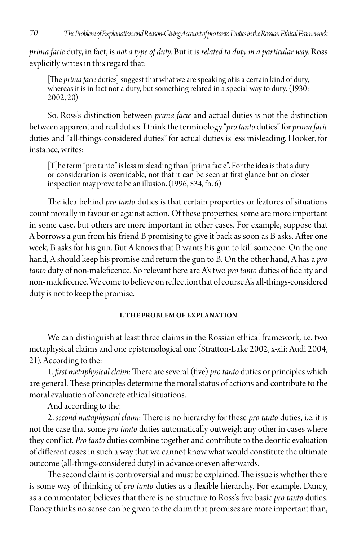*prima facie* duty, in fact, is *not a type of duty*. But it is *related to duty in a particular way*. Ross explicitly writes in this regard that:

[The *prima facie* duties] suggest that what we are speaking of is a certain kind of duty, whereas it is in fact not a duty, but something related in a special way to duty.  $(1930)$ ; 2002, 20)

So, Ross's distinction between *prima facie* and actual duties is not the distinction between apparent and real duties. I think the terminology "*pro tanto* duties" for *prima facie* duties and "all-things-considered duties" for actual duties is less misleading. Hooker, for instance, writes:

[T]he term "pro tanto" is less misleading than "prima facie". For the idea is that a duty or consideration is overridable, not that it can be seen at first glance but on closer inspection may prove to be an illusion. (1996, 534, fn. 6)

The idea behind *pro tanto* duties is that certain properties or features of situations count morally in favour or against action. Of these properties, some are more important in some case, but others are more important in other cases. For example, suppose that A borrows a gun from his friend B promising to give it back as soon as B asks. After one week, B asks for his gun. But A knows that B wants his gun to kill someone. On the one hand, A should keep his promise and return the gun to B. On the other hand, A has a *pro tanto* duty of non-maleficence. So relevant here are A's two *pro tanto* duties of fidelity and non- maleficence. We come to believe on reflection that of course A's all-things-considered duty is not to keep the promise.

#### **I. THE PROBLEM OF EXPLANATION**

We can distinguish at least three claims in the Rossian ethical framework, i.e. two metaphysical claims and one epistemological one (Stratton-Lake 2002, x-xii; Audi 2004, 21). According to the:

1. *first metaphysical claim*: There are several (five) *pro tanto* duties or principles which are general. These principles determine the moral status of actions and contribute to the moral evaluation of concrete ethical situations.

And according to the:

2. *second metaphysical claim*: There is no hierarchy for these *pro tanto* duties, i.e. it is not the case that some *pro tanto* duties automatically outweigh any other in cases where they conflict. *Pro tanto* duties combine together and contribute to the deontic evaluation of different cases in such a way that we cannot know what would constitute the ultimate outcome (all-things-considered duty) in advance or even afterwards.

The second claim is controversial and must be explained. The issue is whether there is some way of thinking of *pro tanto* duties as a flexible hierarchy. For example, Dancy, as a commentator, believes that there is no structure to Ross's five basic *pro tanto* duties. Dancy thinks no sense can be given to the claim that promises are more important than,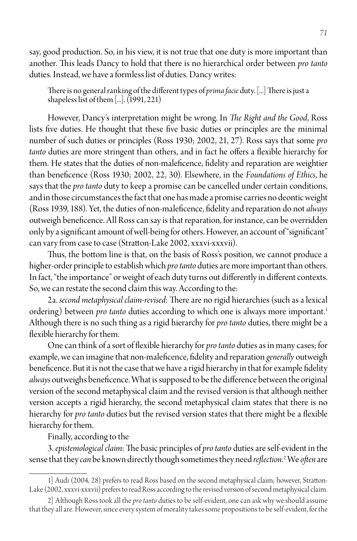say, good production. So, in his view, it is not true that one duty is more important than another. This leads Dancy to hold that there is no hierarchical order between *pro tanto*  duties. Instead, we have a formless list of duties. Dancy writes:

There is no general ranking of the different types of *prima facie* duty. [...] There is just a shapeless list of them [...]. (1991, 221)

However, Dancy's interpretation might be wrong. In *The Right and the Good*, Ross lists five duties. He thought that these five basic duties or principles are the minimal number of such duties or principles (Ross 1930; 2002, 21, 27). Ross says that some *pro tanto* duties are more stringent than others, and in fact he offers a flexible hierarchy for them. He states that the duties of non-maleficence, fidelity and reparation are weightier than beneficence (Ross 1930; 2002, 22, 30). Elsewhere, in the *Foundations of Ethics*, he says that the *pro tanto* duty to keep a promise can be cancelled under certain conditions, and in those circumstances the fact that one has made a promise carries no deontic weight (Ross 1939, 188). Yet, the duties of non-maleficence, fidelity and reparation do not *always* outweigh beneficence. All Ross can say is that reparation, for instance, can be overridden only by a significant amount of well-being for others. However, an account of "significant" can vary from case to case (Stratton-Lake 2002, xxxvi-xxxvii).

Thus, the bottom line is that, on the basis of Ross's position, we cannot produce a higher-order principle to establish which *pro tanto* duties are more important than others. In fact, "the importance" or weight of each duty turns out differently in different contexts. So, we can restate the second claim this way. According to the:

2a. *second metaphysical claim-revised*: There are no rigid hierarchies (such as a lexical ordering) between *pro tanto* duties according to which one is always more important.<sup>1</sup> Although there is no such thing as a rigid hierarchy for *pro tanto* duties, there might be a flexible hierarchy for them.

One can think of a sort of flexible hierarchy for *pro tanto* duties as in many cases; for example, we can imagine that non-maleficence, fidelity and reparation *generally* outweigh beneficence. But it is not the case that we have a rigid hierarchy in that for example fidelity *always* outweighs beneficence. What is supposed to be the difference between the original version of the second metaphysical claim and the revised version is that although neither version accepts a rigid hierarchy, the second metaphysical claim states that there is no hierarchy for *pro tanto* duties but the revised version states that there might be a flexible hierarchy for them.

Finally, according to the

3. *epistemological claim*: The basic principles of *pro tanto* duties are self-evident in the sense that they *can* be known directly though sometimes they need *reflection*. 2 We *often* are

<sup>1]</sup> Audi (2004, 28) prefers to read Ross based on the second metaphysical claim; however, Stratton-Lake (2002, xxxvi-xxxvii) prefers to read Ross according to the revised version of second metaphysical claim.

<sup>2]</sup> Although Ross took all the *pro tanto* duties to be self-evident, one can ask why we should assume that they all are. However, since every system of morality takes some propositions to be self-evident, for the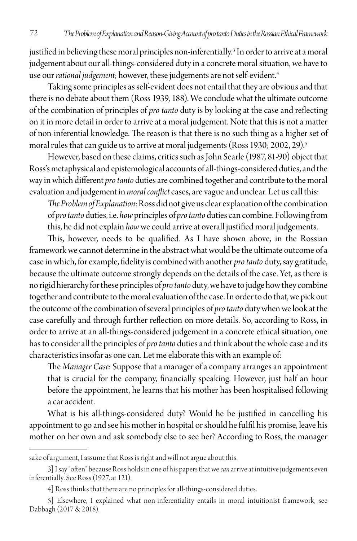justified in believing these moral principles non-inferentially.<sup>3</sup> In order to arrive at a moral judgement about our all-things-considered duty in a concrete moral situation, we have to use our *rational judgement*; however, these judgements are not self-evident.<sup>4</sup>

Taking some principles as self-evident does not entail that they are obvious and that there is no debate about them (Ross 1939, 188). We conclude what the ultimate outcome of the combination of principles of *pro tanto* duty is by looking at the case and reflecting on it in more detail in order to arrive at a moral judgement. Note that this is not a matter of non-inferential knowledge. The reason is that there is no such thing as a higher set of moral rules that can guide us to arrive at moral judgements (Ross 1930; 2002, 29).<sup>5</sup>

However, based on these claims, critics such as John Searle (1987, 81-90) object that Ross's metaphysical and epistemological accounts of all-things-considered duties, and the way in which different *pro tanto* duties are combined together and contribute to the moral evaluation and judgement in *moral conflict* cases, are vague and unclear. Let us call this:

*The Problem of Explanation*: Ross did not give us clear explanation of the combination of *pro tanto* duties, i.e. *how* principles of *pro tanto* duties can combine. Following from this, he did not explain *how* we could arrive at overall justified moral judgements.

This, however, needs to be qualified. As I have shown above, in the Rossian framework we cannot determine in the abstract what would be the ultimate outcome of a case in which, for example, fidelity is combined with another *pro tanto* duty, say gratitude, because the ultimate outcome strongly depends on the details of the case. Yet, as there is no rigid hierarchy for these principles of *pro tanto* duty, we have to judge how they combine together and contribute to the moral evaluation of the case. In order to do that, we pick out the outcome of the combination of several principles of *pro tanto* duty when we look at the case carefully and through further reflection on more details. So, according to Ross, in order to arrive at an all-things-considered judgement in a concrete ethical situation, one has to consider all the principles of *pro tanto* duties and think about the whole case and its characteristics insofar as one can. Let me elaborate this with an example of:

The *Manager Case*: Suppose that a manager of a company arranges an appointment that is crucial for the company, financially speaking. However, just half an hour before the appointment, he learns that his mother has been hospitalised following a car accident.

What is his all-things-considered duty? Would he be justified in cancelling his appointment to go and see his mother in hospital or should he fulfil his promise, leave his mother on her own and ask somebody else to see her? According to Ross, the manager

sake of argument, I assume that Ross is right and will not argue about this.

<sup>3]</sup> I say "often" because Ross holds in one of his papers that we *can* arrive at intuitive judgements even inferentially. See Ross (1927, at 121).

<sup>4]</sup> Ross thinks that there are no principles for all-things-considered duties.

<sup>5]</sup> Elsewhere, I explained what non-inferentiality entails in moral intuitionist framework, see Dabbagh (2017 & 2018).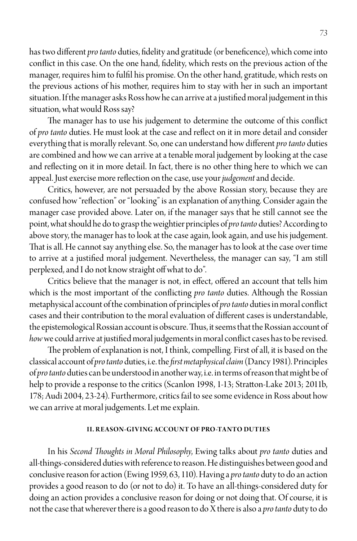has two different *pro tanto* duties, fidelity and gratitude (or beneficence), which come into conflict in this case. On the one hand, fidelity, which rests on the previous action of the manager, requires him to fulfil his promise. On the other hand, gratitude, which rests on the previous actions of his mother, requires him to stay with her in such an important situation. If the manager asks Ross how he can arrive at a justified moral judgement in this situation, what would Ross say?

The manager has to use his judgement to determine the outcome of this conflict of *pro tanto* duties. He must look at the case and reflect on it in more detail and consider everything that is morally relevant. So, one can understand how different *pro tanto* duties are combined and how we can arrive at a tenable moral judgement by looking at the case and reflecting on it in more detail. In fact, there is no other thing here to which we can appeal. Just exercise more reflection on the case, use your *judgement* and decide.

Critics, however, are not persuaded by the above Rossian story, because they are confused how "reflection" or "looking" is an explanation of anything. Consider again the manager case provided above. Later on, if the manager says that he still cannot see the point, what should he do to grasp the weightier principles of *pro tanto* duties? According to above story, the manager has to look at the case again, look again, and use his judgement. That is all. He cannot say anything else. So, the manager has to look at the case over time to arrive at a justified moral judgement. Nevertheless, the manager can say, "I am still perplexed, and I do not know straight off what to do".

Critics believe that the manager is not, in effect, offered an account that tells him which is the most important of the conflicting *pro tanto* duties. Although the Rossian metaphysical account of the combination of principles of *pro tanto* duties in moral conflict cases and their contribution to the moral evaluation of different cases is understandable, the epistemological Rossian account is obscure. Thus, it seems that the Rossian account of *how* we could arrive at justified moral judgements in moral conflict cases has to be revised.

The problem of explanation is not, I think, compelling. First of all, it is based on the classical account of *pro tanto* duties, i.e. the *first metaphysical claim* (Dancy 1981). Principles of *pro tanto* duties can be understood in another way, i.e. in terms of reason that might be of help to provide a response to the critics (Scanlon 1998, 1-13; Stratton-Lake 2013; 2011b, 178; Audi 2004, 23-24). Furthermore, critics fail to see some evidence in Ross about how we can arrive at moral judgements. Let me explain.

#### **II. REASON-GIVING ACCOUNT OF PRO-TANTO DUTIES**

In his *Second Thoughts in Moral Philosophy*, Ewing talks about *pro tanto* duties and all-things-considered duties with reference to reason. He distinguishes between good and conclusive reason for action (Ewing 1959, 63, 110). Having a *pro tanto* duty to do an action provides a good reason to do (or not to do) it. To have an all-things-considered duty for doing an action provides a conclusive reason for doing or not doing that. Of course, it is not the case that wherever there is a good reason to do X there is also a *pro tanto* duty to do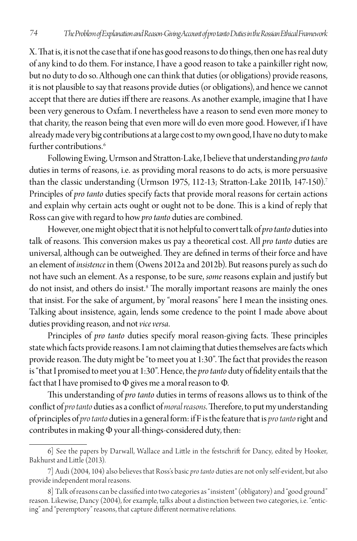X. That is, it is not the case that if one has good reasons to do things, then one has real duty of any kind to do them. For instance, I have a good reason to take a painkiller right now, but no duty to do so. Although one can think that duties (or obligations) provide reasons, it is not plausible to say that reasons provide duties (or obligations), and hence we cannot accept that there are duties iff there are reasons. As another example, imagine that I have been very generous to Oxfam. I nevertheless have a reason to send even more money to that charity, the reason being that even more will do even more good. However, if I have already made very big contributions at a large cost to my own good, I have no duty to make further contributions<sup>6</sup>

Following Ewing, Urmson and Stratton-Lake, I believe that understanding *pro tanto*  duties in terms of reasons, i.e. as providing moral reasons to do acts, is more persuasive than the classic understanding (Urmson 1975, 112-13; Stratton-Lake 2011b, 147-150).<sup>7</sup> Principles of *pro tanto* duties specify facts that provide moral reasons for certain actions and explain why certain acts ought or ought not to be done. This is a kind of reply that Ross can give with regard to how *pro tanto* duties are combined.

However, one might object that it is not helpful to convert talk of *pro tanto* duties into talk of reasons. This conversion makes us pay a theoretical cost. All *pro tanto* duties are universal, although can be outweighed. They are defined in terms of their force and have an element of *insistence* in them (Owens 2012a and 2012b). But reasons purely as such do not have such an element. As a response, to be sure, *some* reasons explain and justify but do not insist, and others do insist.8 The morally important reasons are mainly the ones that insist. For the sake of argument, by "moral reasons" here I mean the insisting ones. Talking about insistence, again, lends some credence to the point I made above about duties providing reason, and not *vice versa*.

Principles of *pro tanto* duties specify moral reason-giving facts. These principles state which facts provide reasons. I am not claiming that duties themselves are facts which provide reason. The duty might be "to meet you at 1:30". The fact that provides the reason is "that I promised to meet you at 1:30". Hence, the *pro tanto* duty of fidelity entails that the fact that I have promised to Φ gives me a moral reason to Φ.

This understanding of *pro tanto* duties in terms of reasons allows us to think of the conflict of *pro tanto* duties as a conflict of *moral reasons*. Therefore, to put my understanding of principles of *pro tanto* duties in a general form: if F is the feature that is *pro tanto* right and contributes in making Φ your all-things-considered duty, then:

<sup>6]</sup> See the papers by Darwall, Wallace and Little in the festschrift for Dancy, edited by Hooker, Bakhurst and Little (2013).

<sup>7]</sup> Audi (2004, 104) also believes that Ross's basic *pro tanto* duties are not only self-evident, but also provide independent moral reasons.

<sup>8]</sup> Talk of reasons can be classified into two categories as "insistent" (obligatory) and "good ground" reason. Likewise, Dancy (2004), for example, talks about a distinction between two categories, i.e. "enticing" and "peremptory" reasons, that capture different normative relations.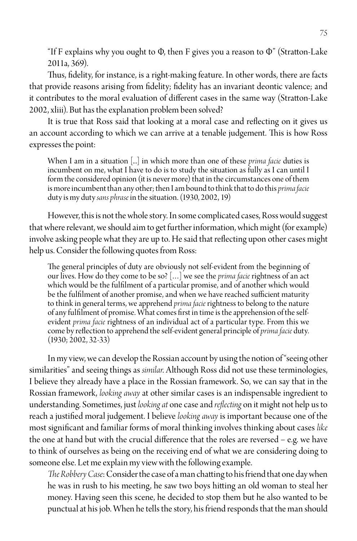"If F explains why you ought to  $\Phi$ , then F gives you a reason to  $\Phi$ " (Stratton-Lake 2011a, 369).

Thus, fidelity, for instance, is a right-making feature. In other words, there are facts that provide reasons arising from fidelity; fidelity has an invariant deontic valence; and it contributes to the moral evaluation of different cases in the same way (Stratton-Lake 2002, xliii). But has the explanation problem been solved?

It is true that Ross said that looking at a moral case and reflecting on it gives us an account according to which we can arrive at a tenable judgement. This is how Ross expresses the point:

When I am in a situation [...] in which more than one of these *prima facie* duties is incumbent on me, what I have to do is to study the situation as fully as I can until I form the considered opinion (it is never more) that in the circumstances one of them is more incumbent than any other; then I am bound to think that to do this *prima facie*  duty is my duty *sans phrase* in the situation. (1930, 2002, 19)

However, this is not the whole story. In some complicated cases, Ross would suggest that where relevant, we should aim to get further information, which might (for example) involve asking people what they are up to. He said that reflecting upon other cases might help us. Consider the following quotes from Ross:

The general principles of duty are obviously not self-evident from the beginning of our lives. How do they come to be so? […] we see the *prima facie* rightness of an act which would be the fulfilment of a particular promise, and of another which would be the fulfilment of another promise, and when we have reached sufficient maturity to think in general terms, we apprehend *prima facie* rightness to belong to the nature of any fulfilment of promise. What comes first in time is the apprehension of the selfevident *prima facie* rightness of an individual act of a particular type. From this we come by reflection to apprehend the self-evident general principle of *prima facie* duty. (1930; 2002, 32-33)

In my view, we can develop the Rossian account by using the notion of "seeing other similarities" and seeing things as *similar*. Although Ross did not use these terminologies, I believe they already have a place in the Rossian framework. So, we can say that in the Rossian framework, *looking away* at other similar cases is an indispensable ingredient to understanding. Sometimes, just *looking at* one case and *reflecting* on it might not help us to reach a justified moral judgement. I believe *looking away* is important because one of the most significant and familiar forms of moral thinking involves thinking about cases *like* the one at hand but with the crucial difference that the roles are reversed − e.g. we have to think of ourselves as being on the receiving end of what we are considering doing to someone else. Let me explain my view with the following example.

*The Robbery Case*: Consider the case of a man chatting to his friend that one day when he was in rush to his meeting, he saw two boys hitting an old woman to steal her money. Having seen this scene, he decided to stop them but he also wanted to be punctual at his job. When he tells the story, his friend responds that the man should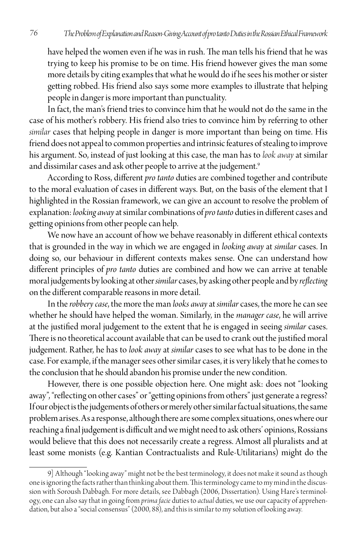have helped the women even if he was in rush. The man tells his friend that he was trying to keep his promise to be on time. His friend however gives the man some more details by citing examples that what he would do if he sees his mother or sister getting robbed. His friend also says some more examples to illustrate that helping people in danger is more important than punctuality.

In fact, the man's friend tries to convince him that he would not do the same in the case of his mother's robbery. His friend also tries to convince him by referring to other *similar* cases that helping people in danger is more important than being on time. His friend does not appeal to common properties and intrinsic features of stealing to improve his argument. So, instead of just looking at this case, the man has to *look away* at similar and dissimilar cases and ask other people to arrive at the judgement.<sup>9</sup>

According to Ross, different *pro tanto* duties are combined together and contribute to the moral evaluation of cases in different ways. But, on the basis of the element that I highlighted in the Rossian framework, we can give an account to resolve the problem of explanation: *looking away* at similar combinations of *pro tanto* duties in different cases and getting opinions from other people can help.

We now have an account of how we behave reasonably in different ethical contexts that is grounded in the way in which we are engaged in *looking away* at *similar* cases. In doing so, our behaviour in different contexts makes sense. One can understand how different principles of *pro tanto* duties are combined and how we can arrive at tenable moral judgements by looking at other *similar* cases, by asking other people and by *reflecting* on the different comparable reasons in more detail.

In the *robbery case*, the more the man *looks away* at *similar* cases, the more he can see whether he should have helped the woman. Similarly, in the *manager case*, he will arrive at the justified moral judgement to the extent that he is engaged in seeing *similar* cases. There is no theoretical account available that can be used to crank out the justified moral judgement. Rather, he has to *look away* at *similar* cases to see what has to be done in the case. For example, if the manager sees other similar cases, it is very likely that he comes to the conclusion that he should abandon his promise under the new condition.

However, there is one possible objection here. One might ask: does not "looking away", "reflecting on other cases" or "getting opinions from others" just generate a regress? If our object is the judgements of others or merely other similar factual situations, the same problem arises. As a response, although there are some complex situations, ones where our reaching a final judgement is difficult and we might need to ask others' opinions, Rossians would believe that this does not necessarily create a regress. Almost all pluralists and at least some monists (e.g. Kantian Contractualists and Rule-Utilitarians) might do the

<sup>9]</sup> Although "looking away" might not be the best terminology, it does not make it sound as though one is ignoring the facts rather than thinking about them. This terminology came to my mind in the discussion with Soroush Dabbagh. For more details, see Dabbagh (2006, Dissertation). Using Hare's terminology, one can also say that in going from *prima facie* duties to *actual* duties, we use our capacity of apprehendation, but also a "social consensus" (2000, 88), and this is similar to my solution of looking away.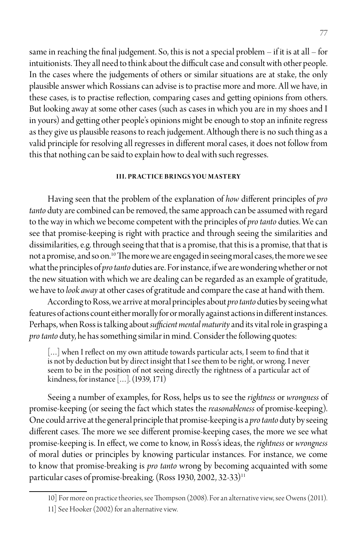same in reaching the final judgement. So, this is not a special problem  $-$  if it is at all – for intuitionists. They all need to think about the difficult case and consult with other people. In the cases where the judgements of others or similar situations are at stake, the only plausible answer which Rossians can advise is to practise more and more. All we have, in these cases, is to practise reflection, comparing cases and getting opinions from others. But looking away at some other cases (such as cases in which you are in my shoes and I in yours) and getting other people's opinions might be enough to stop an infinite regress as they give us plausible reasons to reach judgement. Although there is no such thing as a valid principle for resolving all regresses in different moral cases, it does not follow from this that nothing can be said to explain how to deal with such regresses.

### **III. PRACTICE BRINGS YOU MASTERY**

Having seen that the problem of the explanation of *how* different principles of *pro tanto* duty are combined can be removed, the same approach can be assumed with regard to the way in which we become competent with the principles of *pro tanto* duties. We can see that promise-keeping is right with practice and through seeing the similarities and dissimilarities, e.g. through seeing that that is a promise, that this is a promise, that that is not a promise, and so on.10 The more we are engaged in seeing moral cases, the more we see what the principles of *pro tanto* duties are. For instance, if we are wondering whether or not the new situation with which we are dealing can be regarded as an example of gratitude, we have to *look away* at other cases of gratitude and compare the case at hand with them.

According to Ross, we arrive at moral principles about *pro tanto* duties by seeing what features of actions count either morally for or morally against actions in different instances. Perhaps, when Ross is talking about *sufficient mental maturity* and its vital role in grasping a *pro tanto* duty, he has something similar in mind. Consider the following quotes:

[...] when I reflect on my own attitude towards particular acts, I seem to find that it is not by deduction but by direct insight that I see them to be right, or wrong. I never seem to be in the position of not seeing directly the rightness of a particular act of kindness, for instance […]. (1939, 171)

Seeing a number of examples, for Ross, helps us to see the *rightness* or *wrongness* of promise-keeping (or seeing the fact which states the *reasonableness* of promise-keeping). One could arrive at the general principle that promise-keeping is a *pro tanto* duty by seeing different cases. The more we see different promise-keeping cases, the more we see what promise-keeping is. In effect, we come to know, in Ross's ideas, the *rightness* or *wrongness* of moral duties or principles by knowing particular instances. For instance, we come to know that promise-breaking is *pro tanto* wrong by becoming acquainted with some particular cases of promise-breaking. (Ross 1930, 2002, 32-33)<sup>11</sup>

<sup>10]</sup> For more on practice theories, see Thompson (2008). For an alternative view, see Owens (2011).

<sup>11]</sup> See Hooker (2002) for an alternative view.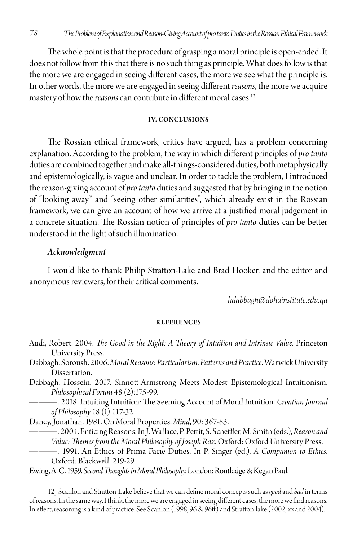The whole point is that the procedure of grasping a moral principle is open-ended. It does not follow from this that there is no such thing as principle. What does follow is that the more we are engaged in seeing different cases, the more we see what the principle is. In other words, the more we are engaged in seeing different *reasons*, the more we acquire mastery of how the *reasons* can contribute in different moral cases.12

#### **IV. CONCLUSIONS**

The Rossian ethical framework, critics have argued, has a problem concerning explanation. According to the problem, the way in which different principles of *pro tanto*  duties are combined together and make all-things-considered duties, both metaphysically and epistemologically, is vague and unclear. In order to tackle the problem, I introduced the reason-giving account of *pro tanto* duties and suggested that by bringing in the notion of "looking away" and "seeing other similarities", which already exist in the Rossian framework, we can give an account of how we arrive at a justified moral judgement in a concrete situation. The Rossian notion of principles of *pro tanto* duties can be better understood in the light of such illumination.

#### *Acknowledgment*

I would like to thank Philip Stratton-Lake and Brad Hooker, and the editor and anonymous reviewers, for their critical comments.

*hdabbagh@dohainstitute.edu.qa*

#### **REFERENCES**

- Audi, Robert. 2004. *The Good in the Right: A Theory of Intuition and Intrinsic Value*. Princeton University Press.
- Dabbagh, Soroush. 2006. *Moral Reasons: Particularism, Patterns and Practice*. Warwick University Dissertation.
- Dabbagh, Hossein. 2017. Sinnott‐Armstrong Meets Modest Epistemological Intuitionism. *Philosophical Forum* 48 (2):175-99.

———. 2018. Intuiting Intuition: The Seeming Account of Moral Intuition. *Croatian Journal of Philosophy* 18 (1):117-32.

Dancy, Jonathan. 1981. On Moral Properties. *Mind*, 90: 367-83.

———. 2004. Enticing Reasons. In J. Wallace, P. Pettit, S. Scheffler, M. Smith (eds.), *Reason and Value: Themes from the Moral Philosophy of Joseph Raz*. Oxford: Oxford University Press.

———. 1991. An Ethics of Prima Facie Duties. In P. Singer (ed.), *A Companion to Ethics*. Oxford: Blackwell: 219-29.

Ewing, A. C. 1959. *Second Thoughts in Moral Philosophy*. London: Routledge & Kegan Paul.

<sup>12]</sup> Scanlon and Stratton-Lake believe that we can define moral concepts such as *good* and *bad* in terms of reasons. In the same way, I think, the more we are engaged in seeing different cases, the more we find reasons. In effect, reasoning is a kind of practice. See Scanlon (1998, 96 & 96ff) and Stratton-lake (2002, xx and 2004).